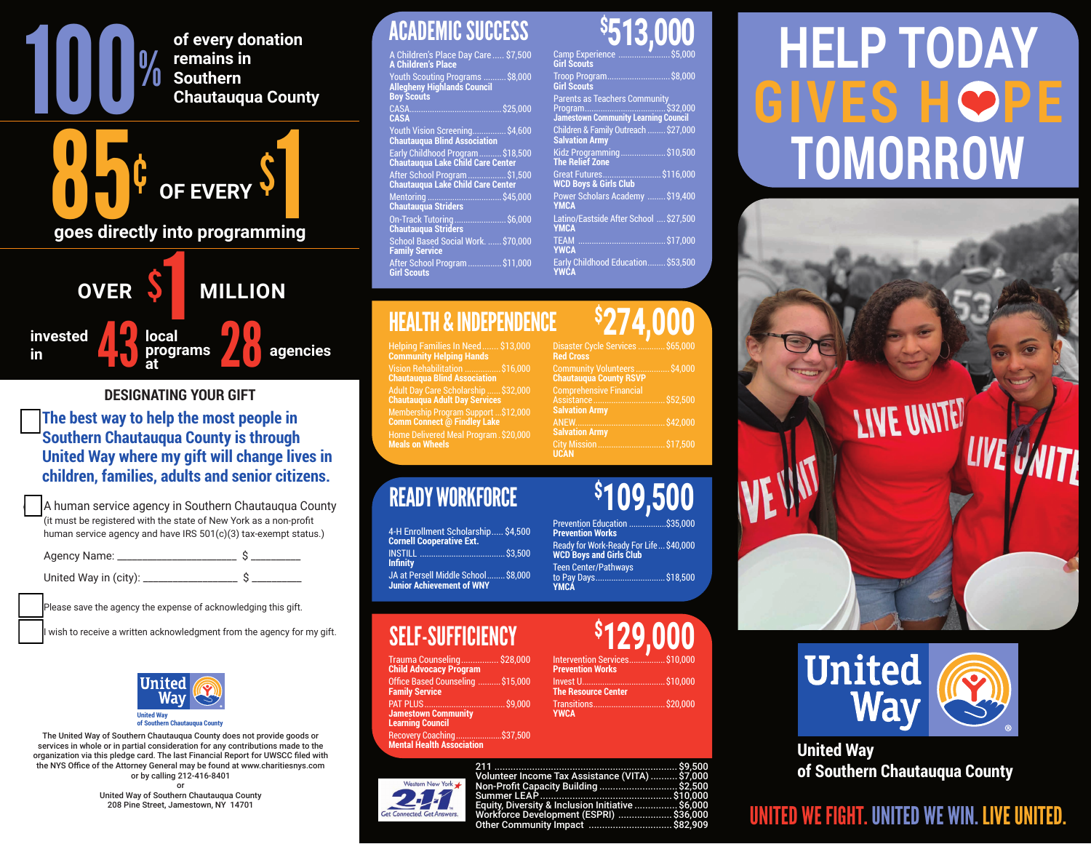#### 100% **of every donation remains in Southern Chautauqua County**



#### **DESIGNATING YOUR GIFT**

#### **The best way to help the most people in Southern Chautauqua County is through United Way where my gift will change lives in children, families, adults and senior citizens.**

| A human service agency in Southern Chautauqua County                                                                                 |  |  |
|--------------------------------------------------------------------------------------------------------------------------------------|--|--|
| (it must be registered with the state of New York as a non-profit<br>human service agency and have IRS 501(c)(3) tax-exempt status.) |  |  |
| Agency Name: ___                                                                                                                     |  |  |
| United Way in (city): _                                                                                                              |  |  |

Please save the agency the expense of acknowledging this gift.

wish to receive a written acknowledgment from the agency for my gift.



The United Way of Southern Chautauqua County does not provide goods or services in whole or in partial consideration for any contributions made to the organization via this pledge card. The last Financial Report for UWSCC filed with the NYS Office of the Attorney General may be found at www.charitiesnys.com or by calling 212-416-8401

> or United Way of Southern Chautauqua County 208 Pine Street, Jamestown, NY 14701

### **ACADEMIC SUCCESS**

A Children's Place Day Care ..... \$7,500 **A Children's Place** Youth Scouting Programs ..........\$8,000 **Allegheny Highlands Council Boy Scouts** \$25.000 **CASA** Youth Vision Screening...............\$4,600 **Chautauqua Blind Association** Early Childhood Program..........\$18,500 **Chautauqua Lake Child Care Center** After School Program.................\$1,500 **Chautauqua Lake Child Care Center**  $.$ \$45.000 **a Striders** On-Track Tutoring.......................\$6,000 **Chautauqua Striders** School Based Social Work. ......\$70,000 **Service** er School Program...............\$11,000 **Girl Scouts**

**HEALTH & INDEPENDENCE** Helping Families In Need....... \$13,000 **Community Helping Hands** Vision Rehabilitation ................\$16,000 **Chautauqua Blind Association Chautauqua Adult Day Services** Membership Program Support ...\$12,000 **Comm Connect @ Findley Lake** Home Delivered Meal Program.\$20,000 **Meals on Wheels**

| ra i a.uuu                                                         |  |
|--------------------------------------------------------------------|--|
| Camp Experience  \$5,000<br><b>Girl Scouts</b>                     |  |
| Troop Program\$8,000<br><b>Girl Scouts</b>                         |  |
| <b>Parents as Teachers Community</b>                               |  |
| \$32,000<br>Program<br><b>Jamestown Community Learning Council</b> |  |
| Children & Family Outreach  \$27,000<br><b>Salvation Army</b>      |  |
| Kidz Programming\$10,500<br><b>The Relief Zone</b>                 |  |
| Great Futures\$116,000<br><b>WCD Boys &amp; Girls Club</b>         |  |
| Power Scholars Academy  \$19,400<br>YMCA                           |  |
| Latino/Eastside After School  \$27,500<br><b>YMCA</b>              |  |

TEAM .......................................\$17,000

Early Childhood Education........\$53,500

Disaster Cycle Services ............\$65,000

Community Volunteers ...............\$4,000

ANEW........................................\$42,000 **Salvation Army**

Prevention Education .................\$35,000 **Prevention Works** Ready for Work-Ready For Life...\$40,000

to Pay Days...............................\$18,500 **YMCA**

**WCD Boys and Girls Club** Teen Center/Pathways

 $$17.500$ 

**Chautauqua County RSVP** Comprehensive Financial **Salvation Army**

**YWCA**

**YWCA**

**Red Cross**

**UCAN**

READY WORKFORCE \$109,500

**SE49,000** 

# **GIVES HOPE TOMORROW HELP TODAY**



4-H Enrollment Scholarship..... \$4,500 **Cornell Cooperative Ext.** INSTILL ......................................\$3,500

JA at Persell Middle School........\$8,000 **Junior Achievement of WNY**

Trauma Counseling................ \$28,000 **Child Advocacy Program** Office Based Counseling ..........\$15,000 **Family Service** PAT PLUS....................................\$9,000 **Jamestown Community Learning Council** Recovery Coaching........................\$37,500 **Mental Health Association**



**Infinity**

211 .................................................................... \$9,500 Volunteer Income Tax Assistance (VITA)..........\$7,000 Non-Profit Capacity Building ............................. \$2,500 Summer LEAP. Equity, Diversity & Inclusion Initiative ................\$6,000 Workforce Development (ESPRI) ....................\$36,000 **Other Commun** 

### SELF-SUFFICIENCY \$129.000

| Intervention Services\$10,000 |  |
|-------------------------------|--|
| <b>Prevention Works</b>       |  |
|                               |  |
| The Resource Center           |  |
| Transitions \$20.000          |  |
| YWCA                          |  |
|                               |  |

| ne Tax Assistance (VITA)  \$7,00<br>acity Building  \$2,50                         |  |
|------------------------------------------------------------------------------------|--|
| & Inclusion Initiative  \$6,00<br>elopment (ESPRI)  \$36,00<br>ity Impact  \$82,90 |  |

## **United** Wav

**United Way of Southern Chautauqua County**

#### UNITED WE FIGHT. UNITED WE WIN. LIVE UNITED.